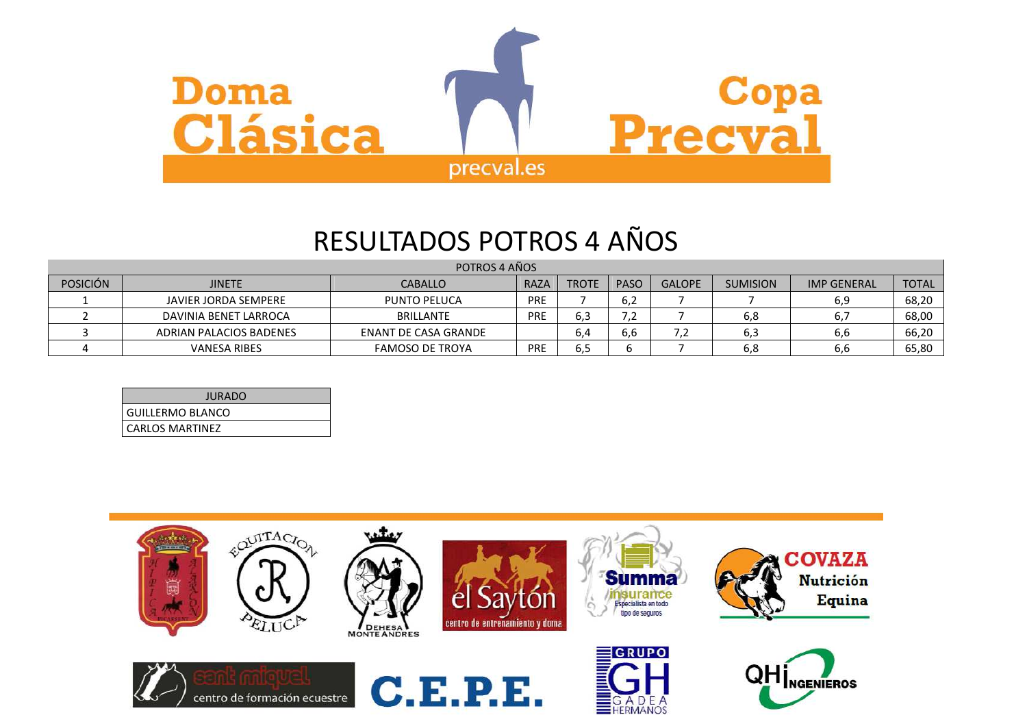

## RESULTADOS POTROS 4 AÑOS

|                 |                         | POTROS 4 AÑOS        |            |              |                                |                          |                 |                    |              |
|-----------------|-------------------------|----------------------|------------|--------------|--------------------------------|--------------------------|-----------------|--------------------|--------------|
| <b>POSICIÓN</b> | <b>JINETE</b>           | <b>CABALLO</b>       | RAZA       | <b>TROTE</b> | <b>PASO</b>                    | <b>GALOPE</b>            | <b>SUMISION</b> | <b>IMP GENERAL</b> | <b>TOTAL</b> |
|                 | JAVIER JORDA SEMPERE    | PUNTO PELUCA         | <b>PRE</b> |              | 6,2                            |                          |                 | 6,9                | 68,20        |
|                 | DAVINIA BENET LARROCA   | BRILLANTE            | <b>PRE</b> | 6,3          | $\overline{\phantom{a}}$<br>.L |                          | 6,8             | 6,7                | 68,00        |
|                 | ADRIAN PALACIOS BADENES | ENANT DE CASA GRANDE |            | 6,4          | 6,6                            | $\overline{\phantom{a}}$ | 6,3             | 6,6                | 66,20        |
|                 | <b>VANESA RIBES</b>     | FAMOSO DE TROYA      | PRE        | 6,5          | υ                              |                          | 6,8             | 6,6                | 65,80        |

| <b>JURADO</b>           |  |
|-------------------------|--|
| <b>GUILLERMO BLANCO</b> |  |
| <b>CARLOS MARTINEZ</b>  |  |

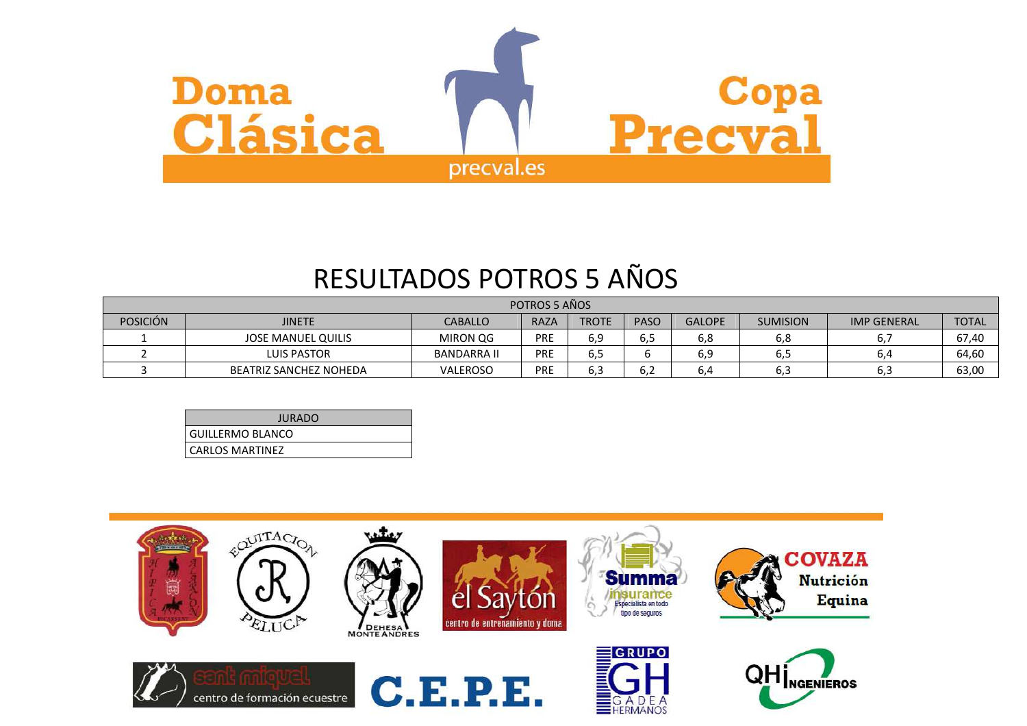

### RESULTADOS POTROS 5 AÑOS

|                 |                        |                    | POTROS 5 AÑOS |              |             |               |                 |                    |              |
|-----------------|------------------------|--------------------|---------------|--------------|-------------|---------------|-----------------|--------------------|--------------|
| <b>POSICIÓN</b> | <b>JINETE</b>          | <b>CABALLO</b>     | <b>RAZA</b>   | <b>TROTE</b> | <b>PASO</b> | <b>GALOPE</b> | <b>SUMISION</b> | <b>IMP GENERAL</b> | <b>TOTAL</b> |
|                 | JOSE MANUEL QUILIS     | <b>MIRON QG</b>    | <b>PRE</b>    | 6,9          | ხ,5         | 6,8           | 6,8             |                    | 67,40        |
|                 | LUIS PASTOR            | <b>BANDARRA II</b> | PRE           | υ, υ         |             | 6,9           | 6,5             | b.4                | 64,60        |
|                 | BEATRIZ SANCHEZ NOHEDA | VALEROSO           | PRE           | ט.ט          | 6,2         | 6,4           | 0.3             | b,3                | 63,00        |

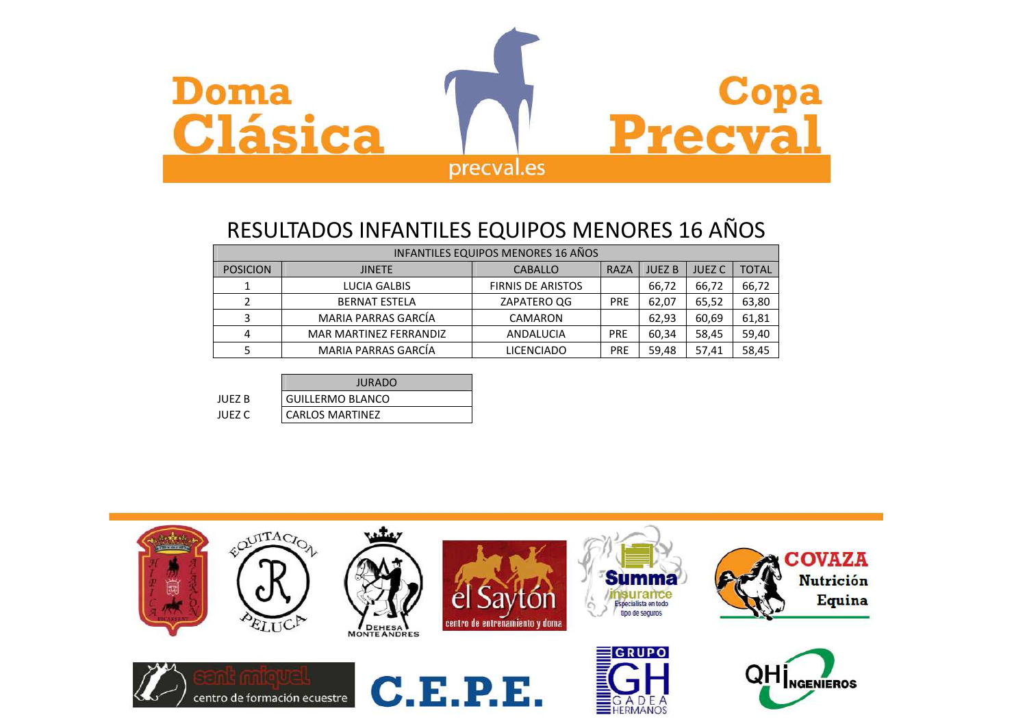

### RESULTADOS INFANTILES EQUIPOS MENORES 16 AÑOS

| INFANTILES EQUIPOS MENORES 16 AÑOS |                        |                          |            |               |               |              |
|------------------------------------|------------------------|--------------------------|------------|---------------|---------------|--------------|
| <b>POSICION</b>                    | <b>JINETE</b>          | <b>CABALLO</b>           | RAZA       | <b>JUEZ B</b> | <b>JUEZ C</b> | <b>TOTAL</b> |
|                                    | LUCIA GALBIS           | <b>FIRNIS DE ARISTOS</b> |            | 66,72         | 66,72         | 66,72        |
| 2                                  | <b>BERNAT ESTELA</b>   | ZAPATERO QG              | <b>PRE</b> | 62,07         | 65,52         | 63,80        |
|                                    | MARIA PARRAS GARCÍA    | CAMARON                  |            | 62.93         | 60,69         | 61,81        |
| 4                                  | MAR MARTINEZ FERRANDIZ | ANDALUCIA                | PRE        | 60.34         | 58,45         | 59,40        |
|                                    | MARIA PARRAS GARCÍA    | <b>LICENCIADO</b>        | <b>PRE</b> | 59,48         | 57,41         | 58,45        |

|        | <b>JURADO</b>           |
|--------|-------------------------|
| JUFZ B | <b>GUILLERMO BLANCO</b> |
| JUEZ C | <b>CARLOS MARTINEZ</b>  |

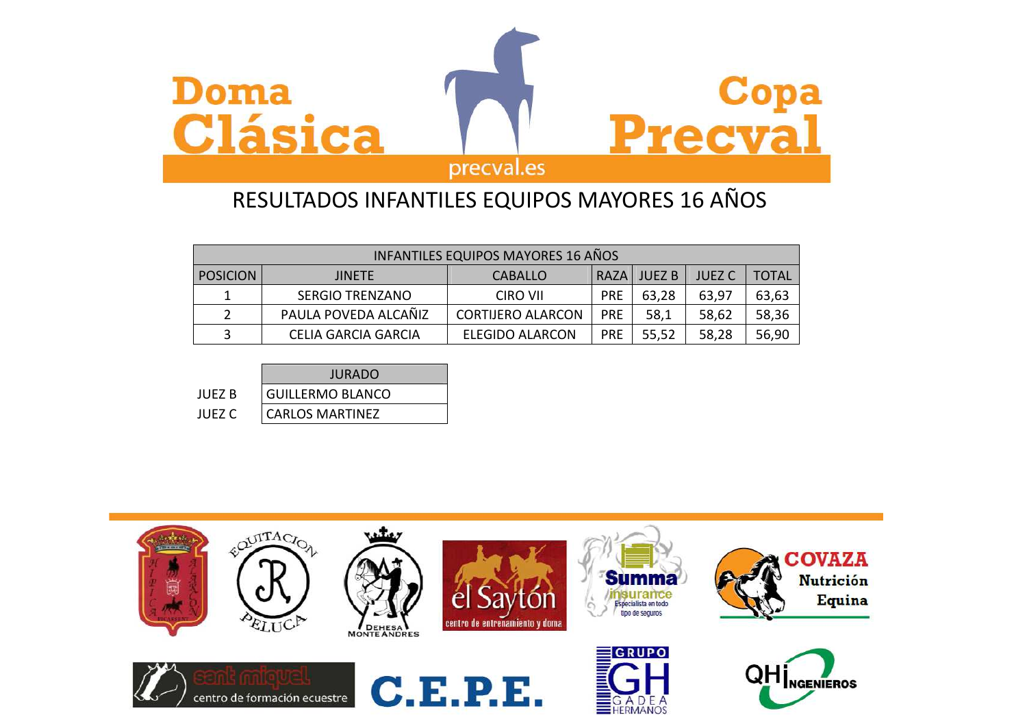

#### RESULTADOS INFANTILES EQUIPOS MAYORES 16 AÑOS

| <b>INFANTILES EQUIPOS MAYORES 16 AÑOS</b> |                            |                          |             |               |               |              |
|-------------------------------------------|----------------------------|--------------------------|-------------|---------------|---------------|--------------|
| <b>POSICION</b>                           | <b>JINETE</b>              | <b>CABALLO</b>           | <b>RAZA</b> | <b>JUEZ B</b> | <b>JUEZ C</b> | <b>TOTAL</b> |
| 1                                         | <b>SERGIO TRENZANO</b>     | CIRO VII                 | <b>PRE</b>  | 63,28         | 63,97         | 63,63        |
| $\mathcal{P}$                             | PAULA POVEDA ALCAÑIZ       | <b>CORTIJERO ALARCON</b> | <b>PRE</b>  | 58,1          | 58,62         | 58,36        |
| 3                                         | <b>CELIA GARCIA GARCIA</b> | <b>ELEGIDO ALARCON</b>   | <b>PRE</b>  | 55,52         | 58,28         | 56,90        |

| JURADO                  |
|-------------------------|
| <b>GUILLERMO BLANCO</b> |
| 'CARLOS MARTINEZ        |
|                         |

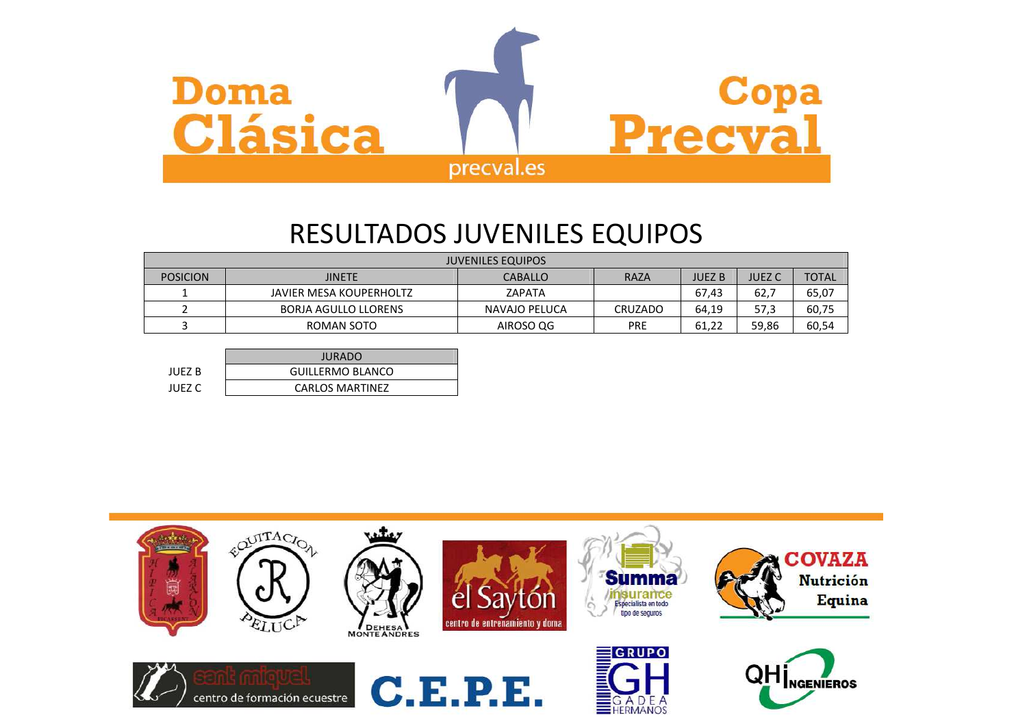

### RESULTADOS JUVENILES EQUIPOS

|                 |                             | <b>JUVENILES EQUIPOS</b> |            |              |               |              |
|-----------------|-----------------------------|--------------------------|------------|--------------|---------------|--------------|
| <b>POSICION</b> | <b>JINETE</b>               | <b>CABALLO</b>           | RAZA       | <b>JUEZB</b> | <b>JUEZ C</b> | <b>TOTAL</b> |
|                 | JAVIER MESA KOUPERHOLTZ     | <b>ZAPATA</b>            |            | 67.43        | 62,7          | 65,07        |
|                 | <b>BORJA AGULLO LLORENS</b> | NAVAJO PELUCA            | CRUZADO    | 64.19        | 57,3          | 60,75        |
|                 | ROMAN SOTO                  | AIROSO QG                | <b>PRE</b> | 61.22        | 59.86         | 60,54        |

| <b>JURADO</b>           |
|-------------------------|
| <b>GUILLERMO BLANCO</b> |
| <b>CARLOS MARTINEZ</b>  |
|                         |

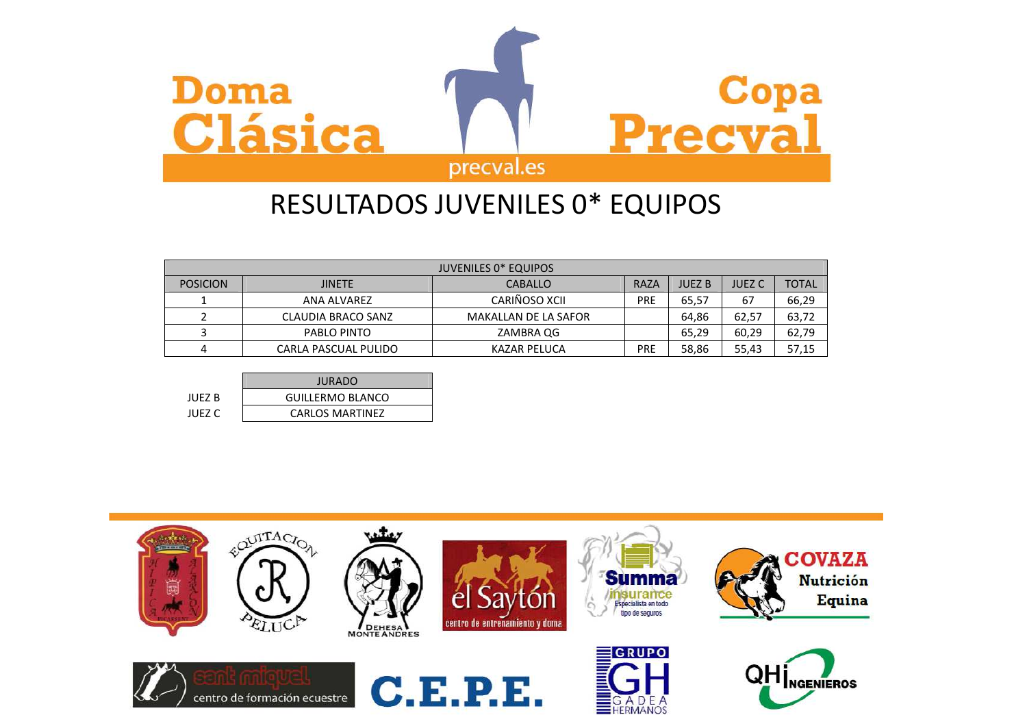

### RESULTADOS JUVENILES 0\* EQUIPOS

|                 |                      | <b>JUVENILES 0* EQUIPOS</b> |            |               |               |              |
|-----------------|----------------------|-----------------------------|------------|---------------|---------------|--------------|
| <b>POSICION</b> | <b>JINETE</b>        | <b>CABALLO</b>              | RAZA       | <b>JUEZ B</b> | <b>JUEZ C</b> | <b>TOTAL</b> |
|                 | ANA ALVAREZ          | CARIÑOSO XCII               | <b>PRE</b> | 65.57         | 67            | 66,29        |
|                 | CLAUDIA BRACO SANZ   | <b>MAKALLAN DE LA SAFOR</b> |            | 64.86         | 62.57         | 63,72        |
|                 | PABLO PINTO          | ZAMBRA QG                   |            | 65.29         | 60.29         | 62,79        |
| 4               | CARLA PASCUAL PULIDO | KAZAR PELUCA                | PRE        | 58.86         | 55.43         | 57,15        |

|        | <b>JURADO</b>           |
|--------|-------------------------|
| JUFZ B | <b>GUILLERMO BLANCO</b> |
| JUEZ C | <b>CARLOS MARTINEZ</b>  |
|        |                         |

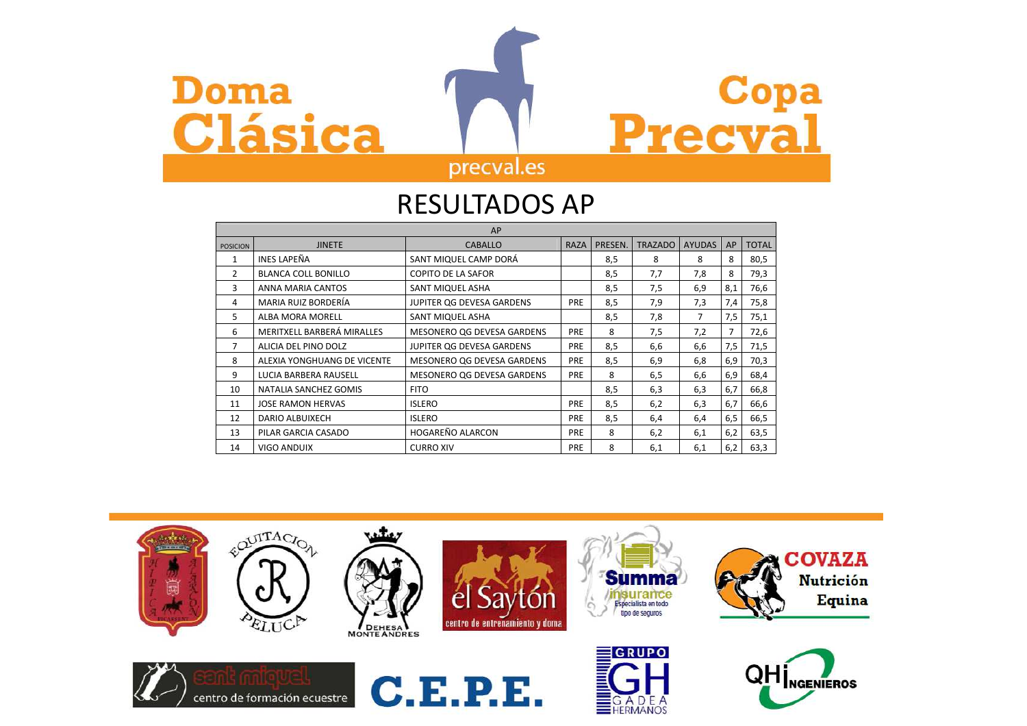

# **Copa**<br>**Precval**

### RESULTADOS AP

precval.es

|                 | AP                          |                            |             |         |                |               |     |              |
|-----------------|-----------------------------|----------------------------|-------------|---------|----------------|---------------|-----|--------------|
| <b>POSICION</b> | <b>JINETE</b>               | <b>CABALLO</b>             | <b>RAZA</b> | PRESEN. | <b>TRAZADO</b> | <b>AYUDAS</b> | AP  | <b>TOTAL</b> |
| $\mathbf{1}$    | INES LAPEÑA                 | SANT MIQUEL CAMP DORÁ      |             | 8,5     | 8              | 8             | 8   | 80,5         |
| $\overline{2}$  | <b>BLANCA COLL BONILLO</b>  | <b>COPITO DE LA SAFOR</b>  |             | 8,5     | 7,7            | 7,8           | 8   | 79,3         |
| 3               | ANNA MARIA CANTOS           | SANT MIQUEL ASHA           |             | 8,5     | 7,5            | 6,9           | 8,1 | 76,6         |
| 4               | MARIA RUIZ BORDERÍA         | JUPITER OG DEVESA GARDENS  | PRE         | 8,5     | 7,9            | 7,3           | 7,4 | 75,8         |
| 5               | ALBA MORA MORELL            | SANT MIQUEL ASHA           |             | 8,5     | 7,8            | 7             | 7,5 | 75,1         |
| 6               | MERITXELL BARBERÁ MIRALLES  | MESONERO QG DEVESA GARDENS | PRE         | 8       | 7,5            | 7,2           | 7   | 72,6         |
| $\overline{7}$  | ALICIA DEL PINO DOLZ        | JUPITER OG DEVESA GARDENS  | <b>PRE</b>  | 8,5     | 6,6            | 6,6           | 7,5 | 71,5         |
| 8               | ALEXIA YONGHUANG DE VICENTE | MESONERO QG DEVESA GARDENS | <b>PRE</b>  | 8,5     | 6,9            | 6,8           | 6,9 | 70,3         |
| 9               | LUCIA BARBERA RAUSELL       | MESONERO QG DEVESA GARDENS | <b>PRE</b>  | 8       | 6,5            | 6,6           | 6,9 | 68,4         |
| 10              | NATALIA SANCHEZ GOMIS       | <b>FITO</b>                |             | 8,5     | 6,3            | 6,3           | 6,7 | 66,8         |
| 11              | <b>JOSE RAMON HERVAS</b>    | <b>ISLERO</b>              | <b>PRE</b>  | 8,5     | 6,2            | 6,3           | 6,7 | 66,6         |
| 12              | DARIO ALBUIXECH             | <b>ISLERO</b>              | <b>PRE</b>  | 8,5     | 6,4            | 6,4           | 6,5 | 66,5         |
| 13              | PILAR GARCIA CASADO         | <b>HOGAREÑO ALARCON</b>    | PRE         | 8       | 6,2            | 6,1           | 6,2 | 63,5         |
| 14              | VIGO ANDUIX                 | <b>CURRO XIV</b>           | <b>PRE</b>  | 8       | 6,1            | 6,1           | 6,2 | 63,3         |

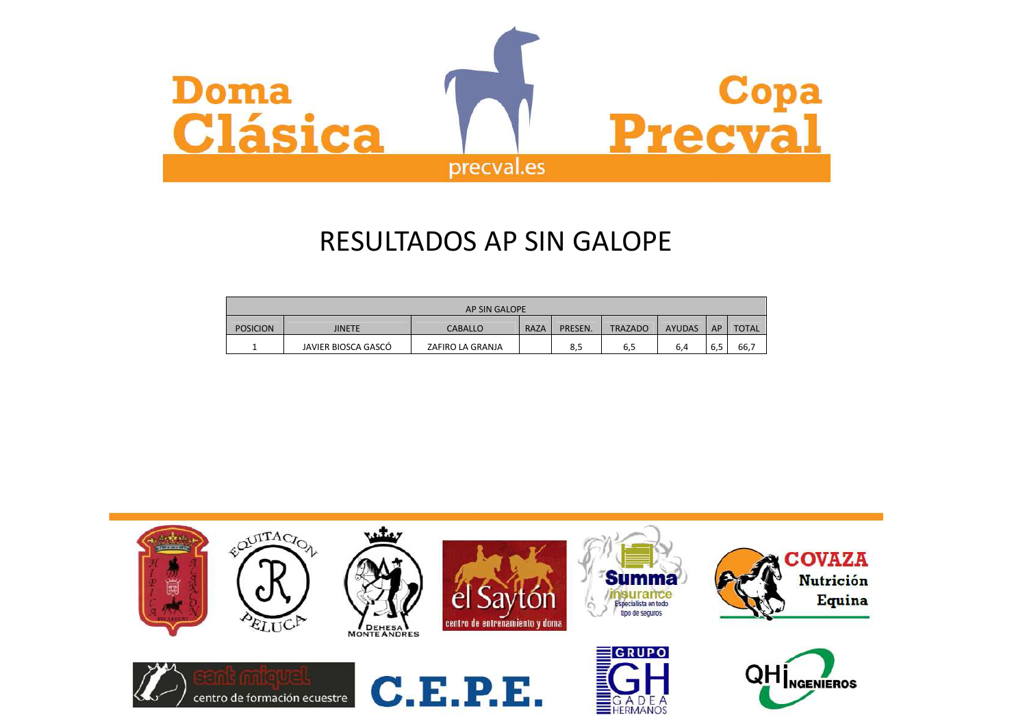

### RESULTADOS AP SIN GALOPE

| AP SIN GALOPE   |                     |                  |      |         |                |               |     |              |
|-----------------|---------------------|------------------|------|---------|----------------|---------------|-----|--------------|
| <b>POSICION</b> | <b>JINETE</b>       | <b>CABALLO</b>   | RAZA | PRESEN. | <b>TRAZADO</b> | <b>AYUDAS</b> | AP  | <b>TOTAL</b> |
|                 | JAVIER BIOSCA GASCÓ | ZAFIRO LA GRANJA |      | 8,5     | 6,5            | 6.4           | ხ,5 | 66,7         |

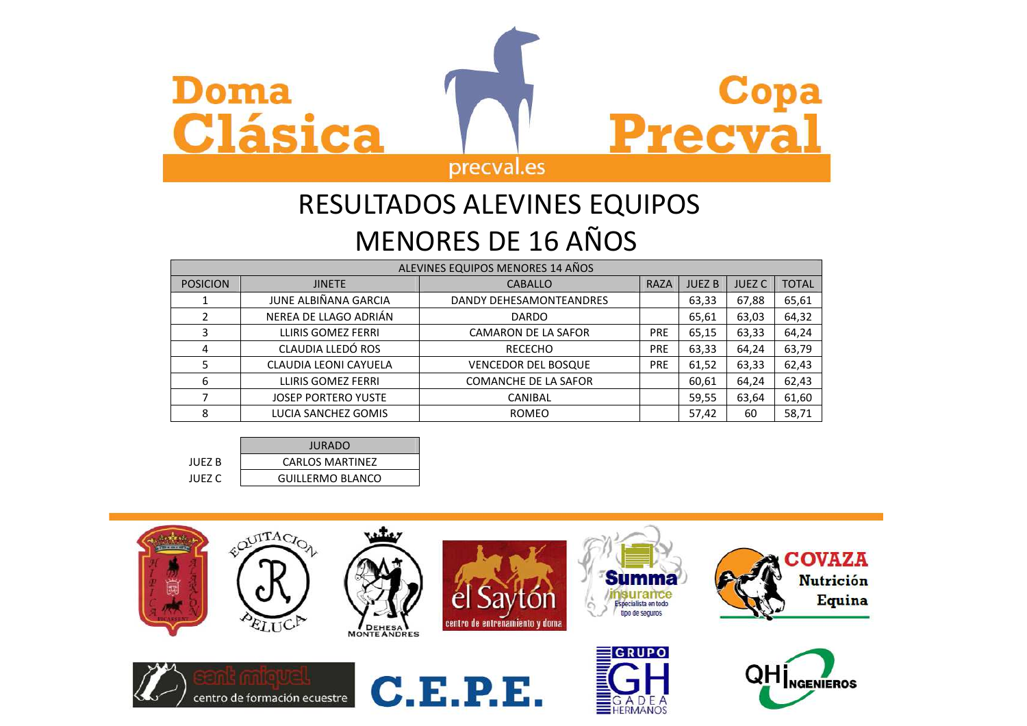

## RESULTADOS ALEVINES EQUIPOS MENORES DE 16 AÑOS

| ALEVINES EQUIPOS MENORES 14 AÑOS |                            |                             |             |               |               |              |
|----------------------------------|----------------------------|-----------------------------|-------------|---------------|---------------|--------------|
| <b>POSICION</b>                  | <b>JINETE</b>              | <b>CABALLO</b>              | <b>RAZA</b> | <b>JUEZ B</b> | <b>JUEZ C</b> | <b>TOTAL</b> |
|                                  | JUNE ALBIÑANA GARCIA       | DANDY DEHESAMONTEANDRES     |             | 63,33         | 67,88         | 65,61        |
| 2                                | NEREA DE LLAGO ADRIÁN      | <b>DARDO</b>                |             | 65,61         | 63,03         | 64,32        |
| 3                                | LLIRIS GOMEZ FERRI         | <b>CAMARON DE LA SAFOR</b>  | <b>PRE</b>  | 65,15         | 63,33         | 64,24        |
| 4                                | CLAUDIA LLEDÓ ROS          | <b>RECECHO</b>              | <b>PRE</b>  | 63,33         | 64,24         | 63,79        |
|                                  | CLAUDIA LEONI CAYUELA      | <b>VENCEDOR DEL BOSQUE</b>  | <b>PRE</b>  | 61,52         | 63,33         | 62,43        |
| 6                                | LLIRIS GOMEZ FERRI         | <b>COMANCHE DE LA SAFOR</b> |             | 60,61         | 64,24         | 62,43        |
|                                  | <b>JOSEP PORTERO YUSTE</b> | CANIBAL                     |             | 59,55         | 63,64         | 61,60        |
| 8                                | LUCIA SANCHEZ GOMIS        | <b>ROMEO</b>                |             | 57,42         | 60            | 58,71        |

|        | <b>JURADO</b>           |  |  |
|--------|-------------------------|--|--|
| JUFZ B | <b>CARLOS MARTINEZ</b>  |  |  |
| JUEZ C | <b>GUILLERMO BLANCO</b> |  |  |

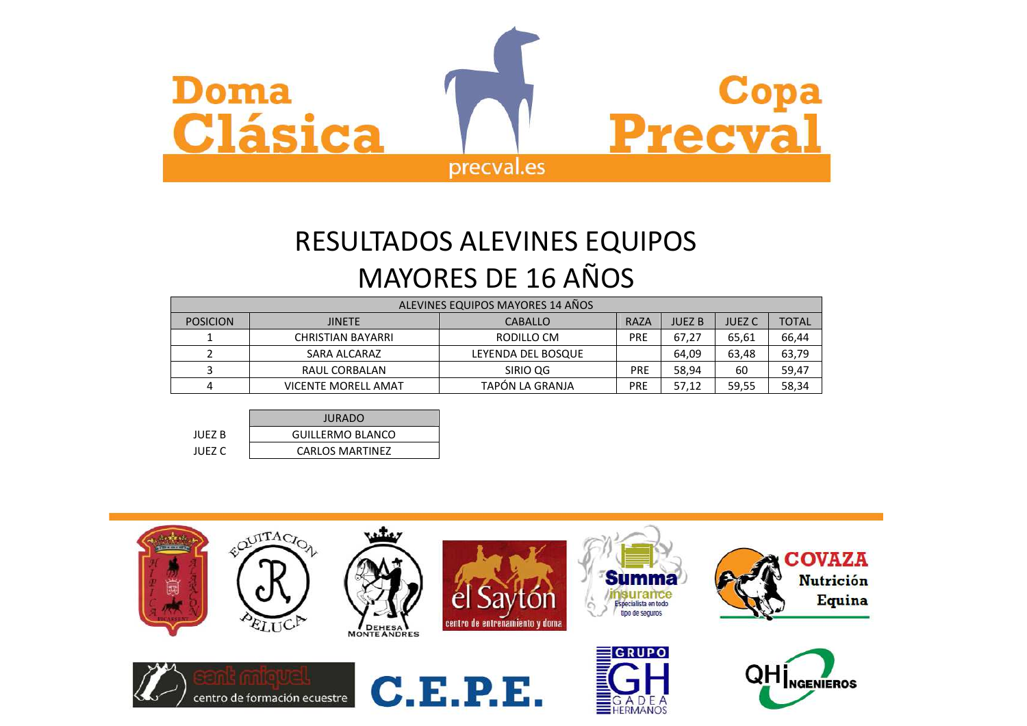

## RESULTADOS ALEVINES EQUIPOS MAYORES DE 16 AÑOS

|                 | ALEVINES EQUIPOS MAYORES 14 AÑOS |                    |      |               |               |              |
|-----------------|----------------------------------|--------------------|------|---------------|---------------|--------------|
| <b>POSICION</b> | <b>JINETE</b>                    | <b>CABALLO</b>     | RAZA | <b>JUEZ B</b> | <b>JUEZ C</b> | <b>TOTAL</b> |
|                 | <b>CHRISTIAN BAYARRI</b>         | RODILLO CM         | PRE  | 67.27         | 65.61         | 66,44        |
|                 | SARA ALCARAZ                     | LEYENDA DEL BOSQUE |      | 64,09         | 63,48         | 63,79        |
|                 | RAUL CORBALAN                    | SIRIO QG           | PRE  | 58,94         | 60            | 59,47        |
| 4               | <b>VICENTE MORELL AMAT</b>       | TAPÓN LA GRANJA    | PRE  | 57.12         | 59,55         | 58,34        |

|        | JURADO                  |
|--------|-------------------------|
| JUFZ B | <b>GUILLERMO BLANCO</b> |
| JUEZ C | <b>CARLOS MARTINEZ</b>  |
|        |                         |